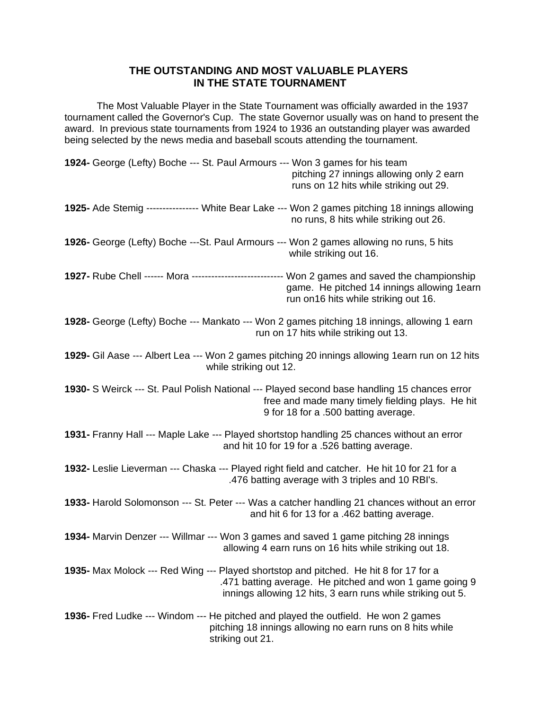## **THE OUTSTANDING AND MOST VALUABLE PLAYERS IN THE STATE TOURNAMENT**

The Most Valuable Player in the State Tournament was officially awarded in the 1937 tournament called the Governor's Cup. The state Governor usually was on hand to present the award. In previous state tournaments from 1924 to 1936 an outstanding player was awarded being selected by the news media and baseball scouts attending the tournament.

| 1924- George (Lefty) Boche --- St. Paul Armours --- Won 3 games for his team<br>pitching 27 innings allowing only 2 earn<br>runs on 12 hits while striking out 29.                                                     |
|------------------------------------------------------------------------------------------------------------------------------------------------------------------------------------------------------------------------|
| 1925- Ade Stemig ---------------- White Bear Lake --- Won 2 games pitching 18 innings allowing<br>no runs, 8 hits while striking out 26.                                                                               |
| 1926- George (Lefty) Boche ---St. Paul Armours --- Won 2 games allowing no runs, 5 hits<br>while striking out 16.                                                                                                      |
| 1927- Rube Chell ------ Mora ---------------------------- Won 2 games and saved the championship<br>game. He pitched 14 innings allowing 1earn<br>run on 16 hits while striking out 16.                                |
| 1928- George (Lefty) Boche --- Mankato --- Won 2 games pitching 18 innings, allowing 1 earn<br>run on 17 hits while striking out 13.                                                                                   |
| 1929- Gil Aase --- Albert Lea --- Won 2 games pitching 20 innings allowing 1earn run on 12 hits<br>while striking out 12.                                                                                              |
| 1930- S Weirck --- St. Paul Polish National --- Played second base handling 15 chances error<br>free and made many timely fielding plays. He hit<br>9 for 18 for a .500 batting average.                               |
| 1931- Franny Hall --- Maple Lake --- Played shortstop handling 25 chances without an error<br>and hit 10 for 19 for a .526 batting average.                                                                            |
| 1932- Leslie Lieverman --- Chaska --- Played right field and catcher. He hit 10 for 21 for a<br>.476 batting average with 3 triples and 10 RBI's.                                                                      |
| 1933- Harold Solomonson --- St. Peter --- Was a catcher handling 21 chances without an error<br>and hit 6 for 13 for a .462 batting average.                                                                           |
| 1934- Marvin Denzer --- Willmar --- Won 3 games and saved 1 game pitching 28 innings<br>allowing 4 earn runs on 16 hits while striking out 18.                                                                         |
| <b>1935-</b> Max Molock --- Red Wing --- Played shortstop and pitched. He hit 8 for 17 for a<br>.471 batting average. He pitched and won 1 game going 9<br>innings allowing 12 hits, 3 earn runs while striking out 5. |
| <b>1936-</b> Fred Ludke --- Windom --- He pitched and played the outfield. He won 2 games<br>pitching 18 innings allowing no earn runs on 8 hits while<br>striking out 21.                                             |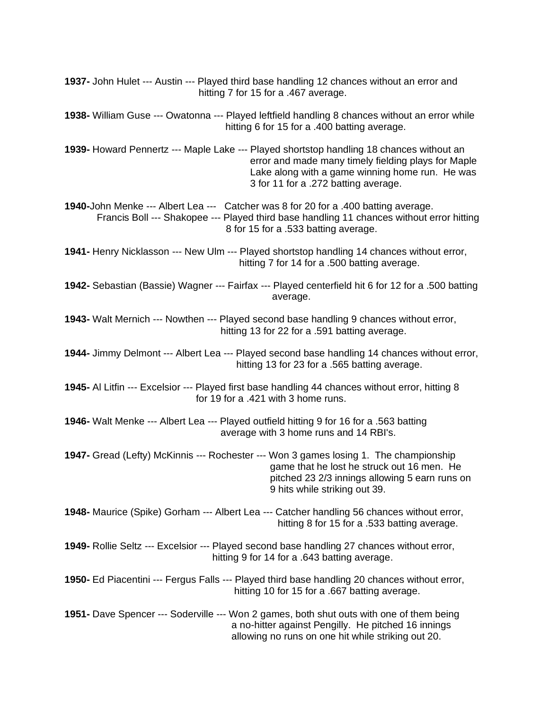**1937-** John Hulet --- Austin --- Played third base handling 12 chances without an error and hitting 7 for 15 for a .467 average. **1938-** William Guse --- Owatonna --- Played leftfield handling 8 chances without an error while hitting 6 for 15 for a .400 batting average. **1939-** Howard Pennertz --- Maple Lake --- Played shortstop handling 18 chances without an error and made many timely fielding plays for Maple Lake along with a game winning home run. He was 3 for 11 for a .272 batting average. **1940-**John Menke --- Albert Lea --- Catcher was 8 for 20 for a .400 batting average. Francis Boll --- Shakopee --- Played third base handling 11 chances without error hitting 8 for 15 for a .533 batting average. **1941-** Henry Nicklasson --- New Ulm --- Played shortstop handling 14 chances without error, hitting 7 for 14 for a .500 batting average. **1942-** Sebastian (Bassie) Wagner --- Fairfax --- Played centerfield hit 6 for 12 for a .500 batting average. **1943-** Walt Mernich --- Nowthen --- Played second base handling 9 chances without error, hitting 13 for 22 for a .591 batting average. **1944-** Jimmy Delmont --- Albert Lea --- Played second base handling 14 chances without error, hitting 13 for 23 for a .565 batting average. **1945-** Al Litfin --- Excelsior --- Played first base handling 44 chances without error, hitting 8 for 19 for a .421 with 3 home runs. **1946-** Walt Menke --- Albert Lea --- Played outfield hitting 9 for 16 for a .563 batting average with 3 home runs and 14 RBI's. **1947-** Gread (Lefty) McKinnis --- Rochester --- Won 3 games losing 1. The championship game that he lost he struck out 16 men. He pitched 23 2/3 innings allowing 5 earn runs on 9 hits while striking out 39. **1948-** Maurice (Spike) Gorham --- Albert Lea --- Catcher handling 56 chances without error, hitting 8 for 15 for a .533 batting average. **1949-** Rollie Seltz --- Excelsior --- Played second base handling 27 chances without error, hitting 9 for 14 for a .643 batting average. **1950-** Ed Piacentini --- Fergus Falls --- Played third base handling 20 chances without error, hitting 10 for 15 for a .667 batting average. **1951-** Dave Spencer --- Soderville --- Won 2 games, both shut outs with one of them being a no-hitter against Pengilly. He pitched 16 innings allowing no runs on one hit while striking out 20.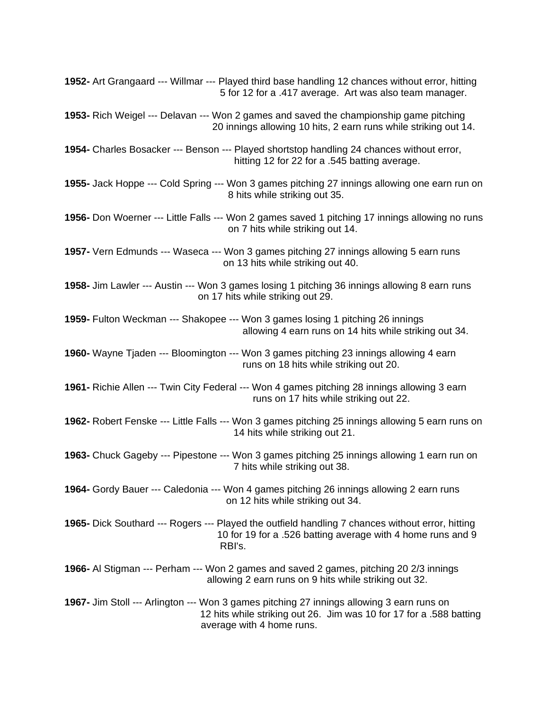| 1952- Art Grangaard --- Willmar --- Played third base handling 12 chances without error, hitting<br>5 for 12 for a .417 average. Art was also team manager.                                   |
|-----------------------------------------------------------------------------------------------------------------------------------------------------------------------------------------------|
| <b>1953-</b> Rich Weigel --- Delavan --- Won 2 games and saved the championship game pitching<br>20 innings allowing 10 hits, 2 earn runs while striking out 14.                              |
| 1954- Charles Bosacker --- Benson --- Played shortstop handling 24 chances without error,<br>hitting 12 for 22 for a .545 batting average.                                                    |
| 1955- Jack Hoppe --- Cold Spring --- Won 3 games pitching 27 innings allowing one earn run on<br>8 hits while striking out 35.                                                                |
| 1956- Don Woerner --- Little Falls --- Won 2 games saved 1 pitching 17 innings allowing no runs<br>on 7 hits while striking out 14.                                                           |
| 1957- Vern Edmunds --- Waseca --- Won 3 games pitching 27 innings allowing 5 earn runs<br>on 13 hits while striking out 40.                                                                   |
| 1958- Jim Lawler --- Austin --- Won 3 games losing 1 pitching 36 innings allowing 8 earn runs<br>on 17 hits while striking out 29.                                                            |
| 1959- Fulton Weckman --- Shakopee --- Won 3 games losing 1 pitching 26 innings<br>allowing 4 earn runs on 14 hits while striking out 34.                                                      |
| 1960- Wayne Tjaden --- Bloomington --- Won 3 games pitching 23 innings allowing 4 earn<br>runs on 18 hits while striking out 20.                                                              |
| 1961- Richie Allen --- Twin City Federal --- Won 4 games pitching 28 innings allowing 3 earn<br>runs on 17 hits while striking out 22.                                                        |
| 1962- Robert Fenske --- Little Falls --- Won 3 games pitching 25 innings allowing 5 earn runs on<br>14 hits while striking out 21.                                                            |
| 1963- Chuck Gageby --- Pipestone --- Won 3 games pitching 25 innings allowing 1 earn run on<br>7 hits while striking out 38.                                                                  |
| 1964- Gordy Bauer --- Caledonia --- Won 4 games pitching 26 innings allowing 2 earn runs<br>on 12 hits while striking out 34.                                                                 |
| <b>1965-</b> Dick Southard --- Rogers --- Played the outfield handling 7 chances without error, hitting<br>10 for 19 for a .526 batting average with 4 home runs and 9<br>RBI's.              |
| 1966- Al Stigman --- Perham --- Won 2 games and saved 2 games, pitching 20 2/3 innings<br>allowing 2 earn runs on 9 hits while striking out 32.                                               |
| 1967- Jim Stoll --- Arlington --- Won 3 games pitching 27 innings allowing 3 earn runs on<br>12 hits while striking out 26. Jim was 10 for 17 for a .588 batting<br>average with 4 home runs. |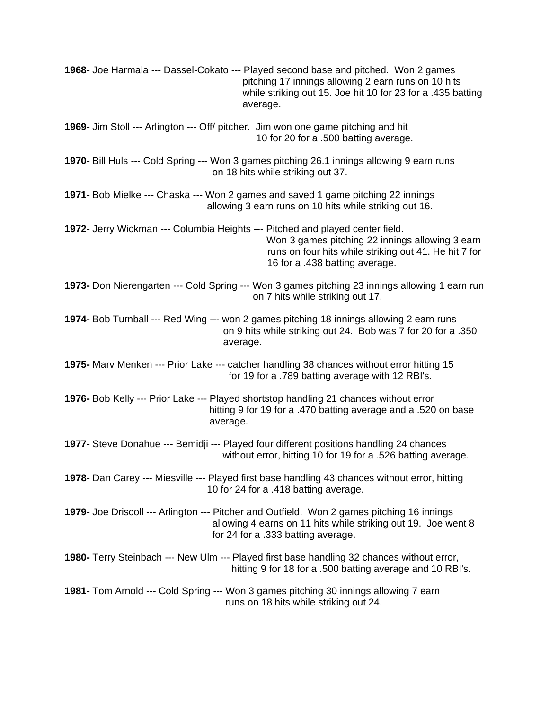| 1968- Joe Harmala --- Dassel-Cokato --- Played second base and pitched. Won 2 games<br>pitching 17 innings allowing 2 earn runs on 10 hits<br>while striking out 15. Joe hit 10 for 23 for a .435 batting<br>average.       |
|-----------------------------------------------------------------------------------------------------------------------------------------------------------------------------------------------------------------------------|
| 1969- Jim Stoll --- Arlington --- Off/ pitcher. Jim won one game pitching and hit<br>10 for 20 for a .500 batting average.                                                                                                  |
| 1970- Bill Huls --- Cold Spring --- Won 3 games pitching 26.1 innings allowing 9 earn runs<br>on 18 hits while striking out 37.                                                                                             |
| 1971- Bob Mielke --- Chaska --- Won 2 games and saved 1 game pitching 22 innings<br>allowing 3 earn runs on 10 hits while striking out 16.                                                                                  |
| 1972- Jerry Wickman --- Columbia Heights --- Pitched and played center field.<br>Won 3 games pitching 22 innings allowing 3 earn<br>runs on four hits while striking out 41. He hit 7 for<br>16 for a .438 batting average. |
| 1973- Don Nierengarten --- Cold Spring --- Won 3 games pitching 23 innings allowing 1 earn run<br>on 7 hits while striking out 17.                                                                                          |
| 1974- Bob Turnball --- Red Wing --- won 2 games pitching 18 innings allowing 2 earn runs<br>on 9 hits while striking out 24. Bob was 7 for 20 for a .350<br>average.                                                        |
| 1975- Marv Menken --- Prior Lake --- catcher handling 38 chances without error hitting 15<br>for 19 for a .789 batting average with 12 RBI's.                                                                               |
| 1976- Bob Kelly --- Prior Lake --- Played shortstop handling 21 chances without error<br>hitting 9 for 19 for a .470 batting average and a .520 on base<br>average.                                                         |
| 1977- Steve Donahue --- Bemidji --- Played four different positions handling 24 chances<br>without error, hitting 10 for 19 for a .526 batting average.                                                                     |
| 1978- Dan Carey --- Miesville --- Played first base handling 43 chances without error, hitting<br>10 for 24 for a .418 batting average.                                                                                     |
| 1979- Joe Driscoll --- Arlington --- Pitcher and Outfield. Won 2 games pitching 16 innings<br>allowing 4 earns on 11 hits while striking out 19. Joe went 8<br>for 24 for a .333 batting average.                           |
| <b>1980-</b> Terry Steinbach --- New Ulm --- Played first base handling 32 chances without error,<br>hitting 9 for 18 for a .500 batting average and 10 RBI's.                                                              |
| 1981- Tom Arnold --- Cold Spring --- Won 3 games pitching 30 innings allowing 7 earn<br>runs on 18 hits while striking out 24.                                                                                              |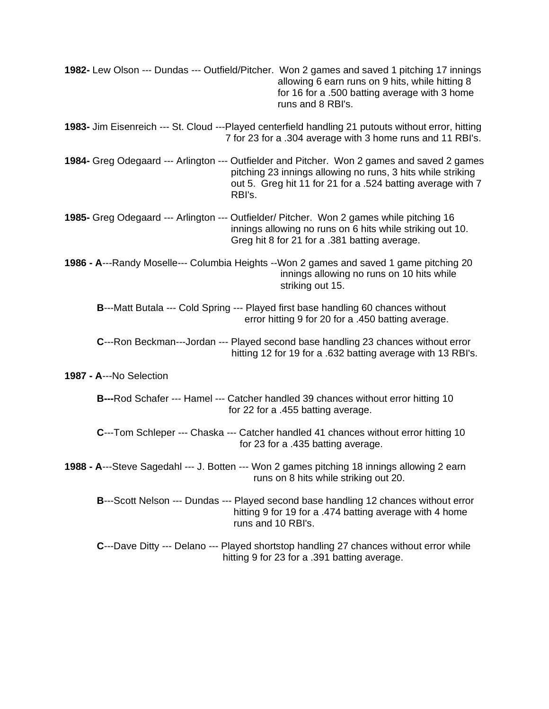| 1982- Lew Olson --- Dundas --- Outfield/Pitcher. Won 2 games and saved 1 pitching 17 innings<br>allowing 6 earn runs on 9 hits, while hitting 8<br>for 16 for a .500 batting average with 3 home<br>runs and 8 RBI's.               |
|-------------------------------------------------------------------------------------------------------------------------------------------------------------------------------------------------------------------------------------|
| 1983- Jim Eisenreich --- St. Cloud ---Played centerfield handling 21 putouts without error, hitting<br>7 for 23 for a .304 average with 3 home runs and 11 RBI's.                                                                   |
| 1984- Greg Odegaard --- Arlington --- Outfielder and Pitcher. Won 2 games and saved 2 games<br>pitching 23 innings allowing no runs, 3 hits while striking<br>out 5. Greg hit 11 for 21 for a .524 batting average with 7<br>RBI's. |
| 1985- Greg Odegaard --- Arlington --- Outfielder/ Pitcher. Won 2 games while pitching 16<br>innings allowing no runs on 6 hits while striking out 10.<br>Greg hit 8 for 21 for a .381 batting average.                              |
| 1986 - A---Randy Moselle--- Columbia Heights --Won 2 games and saved 1 game pitching 20<br>innings allowing no runs on 10 hits while<br>striking out 15.                                                                            |
| B---Matt Butala --- Cold Spring --- Played first base handling 60 chances without<br>error hitting 9 for 20 for a .450 batting average.                                                                                             |
| C---Ron Beckman---Jordan --- Played second base handling 23 chances without error<br>hitting 12 for 19 for a .632 batting average with 13 RBI's.                                                                                    |
| 1987 - A---No Selection                                                                                                                                                                                                             |
| <b>B</b> ---Rod Schafer --- Hamel --- Catcher handled 39 chances without error hitting 10<br>for 22 for a .455 batting average.                                                                                                     |
| C---Tom Schleper --- Chaska --- Catcher handled 41 chances without error hitting 10<br>for 23 for a .435 batting average.                                                                                                           |
| 1988 - A---Steve Sagedahl --- J. Botten --- Won 2 games pitching 18 innings allowing 2 earn<br>runs on 8 hits while striking out 20.                                                                                                |
| B---Scott Nelson --- Dundas --- Played second base handling 12 chances without error<br>hitting 9 for 19 for a .474 batting average with 4 home<br>runs and 10 RBI's.                                                               |
| C---Dave Ditty --- Delano --- Played shortstop handling 27 chances without error while<br>hitting 9 for 23 for a .391 batting average.                                                                                              |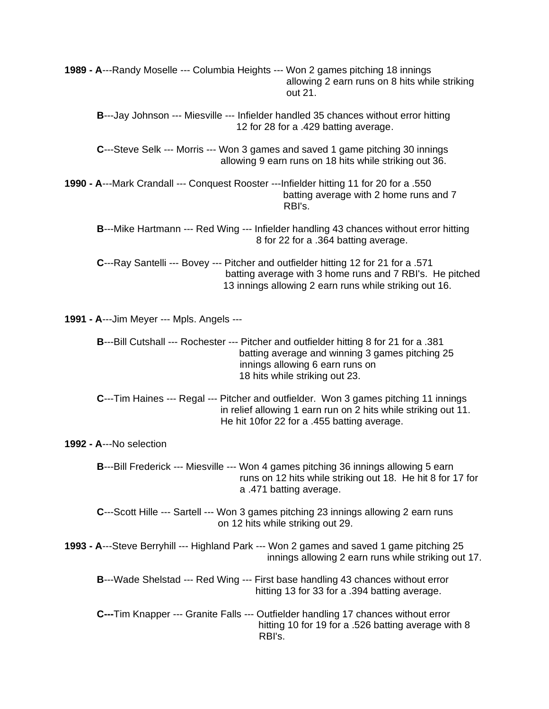| 1989 - A---Randy Moselle --- Columbia Heights --- Won 2 games pitching 18 innings<br>allowing 2 earn runs on 8 hits while striking<br>out 21.                                                                          |
|------------------------------------------------------------------------------------------------------------------------------------------------------------------------------------------------------------------------|
| B---Jay Johnson --- Miesville --- Infielder handled 35 chances without error hitting<br>12 for 28 for a .429 batting average.                                                                                          |
| C---Steve Selk --- Morris --- Won 3 games and saved 1 game pitching 30 innings<br>allowing 9 earn runs on 18 hits while striking out 36.                                                                               |
| 1990 - A---Mark Crandall --- Conquest Rooster ---Infielder hitting 11 for 20 for a .550<br>batting average with 2 home runs and 7<br>RBI's.                                                                            |
| B---Mike Hartmann --- Red Wing --- Infielder handling 43 chances without error hitting<br>8 for 22 for a .364 batting average.                                                                                         |
| C---Ray Santelli --- Bovey --- Pitcher and outfielder hitting 12 for 21 for a .571<br>batting average with 3 home runs and 7 RBI's. He pitched<br>13 innings allowing 2 earn runs while striking out 16.               |
| <b>1991 - A---Jim Meyer --- Mpls. Angels ---</b>                                                                                                                                                                       |
| <b>B</b> ---Bill Cutshall --- Rochester --- Pitcher and outfielder hitting 8 for 21 for a .381<br>batting average and winning 3 games pitching 25<br>innings allowing 6 earn runs on<br>18 hits while striking out 23. |
| C---Tim Haines --- Regal --- Pitcher and outfielder. Won 3 games pitching 11 innings<br>in relief allowing 1 earn run on 2 hits while striking out 11.<br>He hit 10for 22 for a .455 batting average.                  |
| 1992 - A---No selection                                                                                                                                                                                                |
| B---Bill Frederick --- Miesville --- Won 4 games pitching 36 innings allowing 5 earn<br>runs on 12 hits while striking out 18. He hit 8 for 17 for<br>a .471 batting average.                                          |
| C---Scott Hille --- Sartell --- Won 3 games pitching 23 innings allowing 2 earn runs<br>on 12 hits while striking out 29.                                                                                              |
| 1993 - A---Steve Berryhill --- Highland Park --- Won 2 games and saved 1 game pitching 25<br>innings allowing 2 earn runs while striking out 17.                                                                       |
| <b>B</b> ---Wade Shelstad --- Red Wing --- First base handling 43 chances without error<br>hitting 13 for 33 for a .394 batting average.                                                                               |
| C---Tim Knapper --- Granite Falls --- Outfielder handling 17 chances without error<br>hitting 10 for 19 for a .526 batting average with 8<br>RBI's.                                                                    |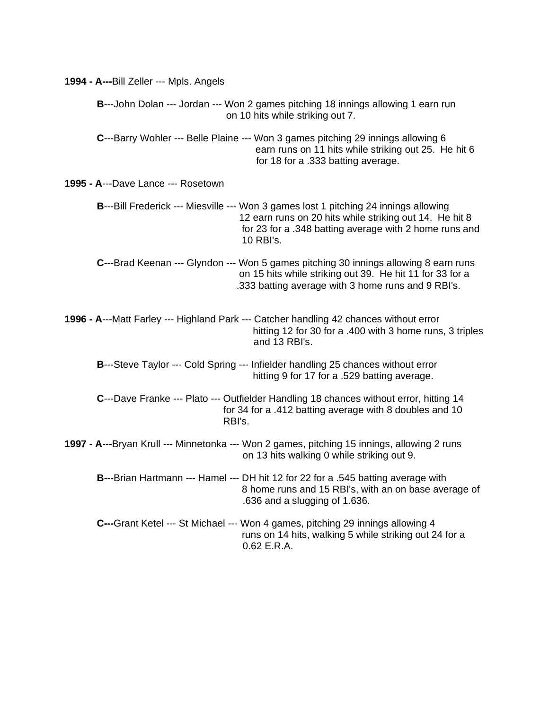| 1994 - A---Bill Zeller --- Mpls. Angels                                                                                                                                                                                |
|------------------------------------------------------------------------------------------------------------------------------------------------------------------------------------------------------------------------|
| <b>B</b> ---John Dolan --- Jordan --- Won 2 games pitching 18 innings allowing 1 earn run<br>on 10 hits while striking out 7.                                                                                          |
| C---Barry Wohler --- Belle Plaine --- Won 3 games pitching 29 innings allowing 6<br>earn runs on 11 hits while striking out 25. He hit 6<br>for 18 for a .333 batting average.                                         |
| 1995 - A---Dave Lance --- Rosetown                                                                                                                                                                                     |
| B---Bill Frederick --- Miesville --- Won 3 games lost 1 pitching 24 innings allowing<br>12 earn runs on 20 hits while striking out 14. He hit 8<br>for 23 for a .348 batting average with 2 home runs and<br>10 RBI's. |
| C---Brad Keenan --- Glyndon --- Won 5 games pitching 30 innings allowing 8 earn runs<br>on 15 hits while striking out 39. He hit 11 for 33 for a<br>.333 batting average with 3 home runs and 9 RBI's.                 |
| 1996 - A---Matt Farley --- Highland Park --- Catcher handling 42 chances without error<br>hitting 12 for 30 for a .400 with 3 home runs, 3 triples<br>and 13 RBI's.                                                    |
| B---Steve Taylor --- Cold Spring --- Infielder handling 25 chances without error<br>hitting 9 for 17 for a .529 batting average.                                                                                       |
| C---Dave Franke --- Plato --- Outfielder Handling 18 chances without error, hitting 14<br>for 34 for a .412 batting average with 8 doubles and 10<br>RBI's.                                                            |
| 1997 - A---Bryan Krull --- Minnetonka --- Won 2 games, pitching 15 innings, allowing 2 runs<br>on 13 hits walking 0 while striking out 9.                                                                              |
| B---Brian Hartmann --- Hamel --- DH hit 12 for 22 for a .545 batting average with<br>8 home runs and 15 RBI's, with an on base average of<br>.636 and a slugging of 1.636.                                             |
| C---Grant Ketel --- St Michael --- Won 4 games, pitching 29 innings allowing 4<br>runs on 14 hits, walking 5 while striking out 24 for a<br>0.62 E.R.A.                                                                |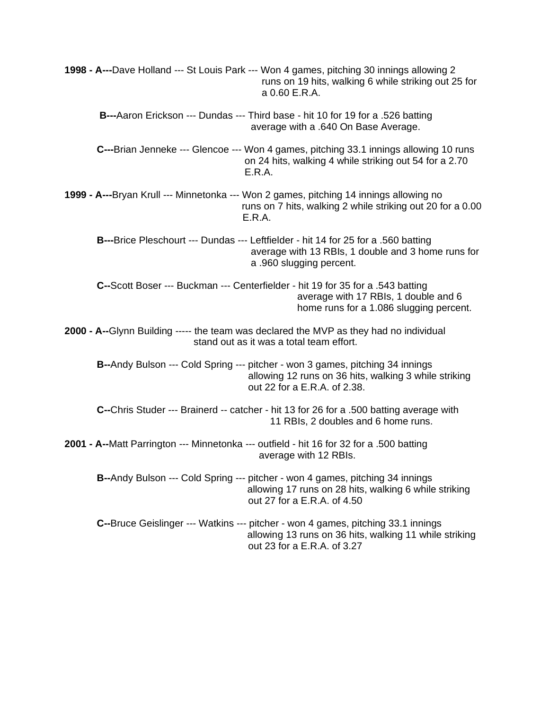**1998 - A---**Dave Holland --- St Louis Park --- Won 4 games, pitching 30 innings allowing 2 runs on 19 hits, walking 6 while striking out 25 for a 0.60 E.R.A.

**B---**Aaron Erickson --- Dundas --- Third base - hit 10 for 19 for a .526 batting average with a .640 On Base Average.

**C---**Brian Jenneke --- Glencoe --- Won 4 games, pitching 33.1 innings allowing 10 runs on 24 hits, walking 4 while striking out 54 for a 2.70 E.R.A.

**1999 - A---**Bryan Krull --- Minnetonka --- Won 2 games, pitching 14 innings allowing no runs on 7 hits, walking 2 while striking out 20 for a 0.00 E.R.A.

**B---**Brice Pleschourt --- Dundas --- Leftfielder - hit 14 for 25 for a .560 batting average with 13 RBIs, 1 double and 3 home runs for a .960 slugging percent.

**C--**Scott Boser --- Buckman --- Centerfielder - hit 19 for 35 for a .543 batting average with 17 RBIs, 1 double and 6 home runs for a 1.086 slugging percent.

**2000 - A--**Glynn Building ----- the team was declared the MVP as they had no individual stand out as it was a total team effort.

**B--**Andy Bulson --- Cold Spring --- pitcher - won 3 games, pitching 34 innings allowing 12 runs on 36 hits, walking 3 while striking out 22 for a E.R.A. of 2.38.

**C--**Chris Studer --- Brainerd -- catcher - hit 13 for 26 for a .500 batting average with 11 RBIs, 2 doubles and 6 home runs.

**2001 - A--**Matt Parrington --- Minnetonka --- outfield - hit 16 for 32 for a .500 batting average with 12 RBIs.

**B--**Andy Bulson --- Cold Spring --- pitcher - won 4 games, pitching 34 innings allowing 17 runs on 28 hits, walking 6 while striking out 27 for a E.R.A. of 4.50

**C--**Bruce Geislinger --- Watkins --- pitcher - won 4 games, pitching 33.1 innings allowing 13 runs on 36 hits, walking 11 while striking out 23 for a E.R.A. of 3.27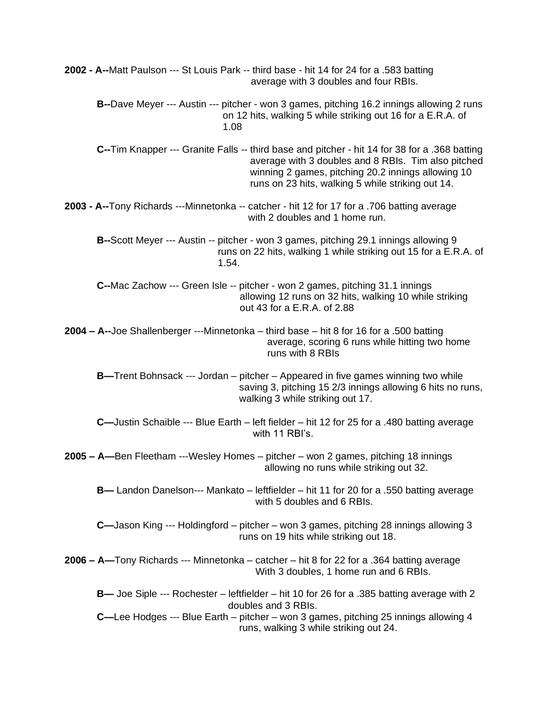**2002 - A--**Matt Paulson --- St Louis Park -- third base - hit 14 for 24 for a .583 batting average with 3 doubles and four RBIs. **B--**Dave Meyer --- Austin --- pitcher - won 3 games, pitching 16.2 innings allowing 2 runs on 12 hits, walking 5 while striking out 16 for a E.R.A. of 1.08 **C--**Tim Knapper --- Granite Falls -- third base and pitcher - hit 14 for 38 for a .368 batting average with 3 doubles and 8 RBIs. Tim also pitched winning 2 games, pitching 20.2 innings allowing 10 runs on 23 hits, walking 5 while striking out 14. **2003 - A--**Tony Richards ---Minnetonka -- catcher - hit 12 for 17 for a .706 batting average with 2 doubles and 1 home run. **B--**Scott Meyer --- Austin -- pitcher - won 3 games, pitching 29.1 innings allowing 9 runs on 22 hits, walking 1 while striking out 15 for a E.R.A. of 1.54. **C--**Mac Zachow --- Green Isle -- pitcher - won 2 games, pitching 31.1 innings allowing 12 runs on 32 hits, walking 10 while striking out 43 for a E.R.A. of 2.88 **2004 – A--**Joe Shallenberger ---Minnetonka – third base – hit 8 for 16 for a .500 batting average, scoring 6 runs while hitting two home runs with 8 RBIs **B—**Trent Bohnsack --- Jordan – pitcher – Appeared in five games winning two while saving 3, pitching 15 2/3 innings allowing 6 hits no runs, walking 3 while striking out 17. **C—**Justin Schaible --- Blue Earth – left fielder – hit 12 for 25 for a .480 batting average with 11 RBI's. **2005 – A—**Ben Fleetham ---Wesley Homes – pitcher – won 2 games, pitching 18 innings allowing no runs while striking out 32. **B—** Landon Danelson--- Mankato – leftfielder – hit 11 for 20 for a .550 batting average with 5 doubles and 6 RBIs. **C—**Jason King --- Holdingford – pitcher – won 3 games, pitching 28 innings allowing 3 runs on 19 hits while striking out 18. **2006 – A—**Tony Richards --- Minnetonka – catcher – hit 8 for 22 for a .364 batting average With 3 doubles, 1 home run and 6 RBIs. **B—** Joe Siple --- Rochester – leftfielder – hit 10 for 26 for a .385 batting average with 2 doubles and 3 RBIs. **C—**Lee Hodges --- Blue Earth – pitcher – won 3 games, pitching 25 innings allowing 4 runs, walking 3 while striking out 24.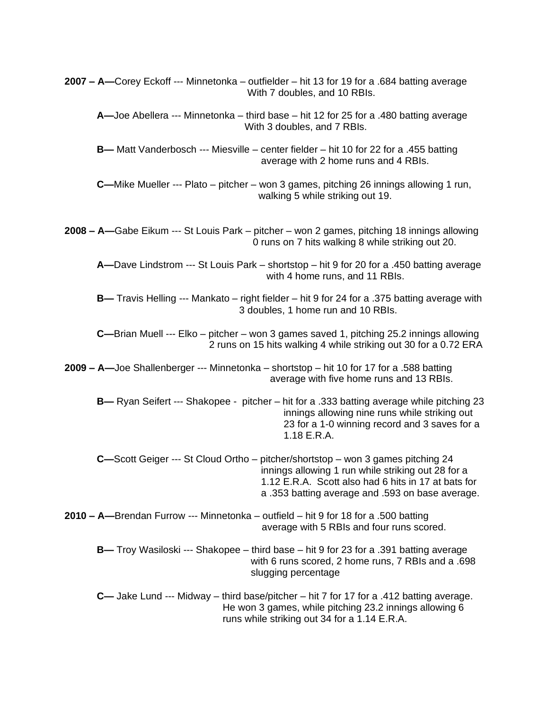**2007 – A—**Corey Eckoff --- Minnetonka – outfielder – hit 13 for 19 for a .684 batting average With 7 doubles, and 10 RBIs. **A—**Joe Abellera --- Minnetonka – third base – hit 12 for 25 for a .480 batting average With 3 doubles, and 7 RBIs. **B—** Matt Vanderbosch --- Miesville – center fielder – hit 10 for 22 for a .455 batting average with 2 home runs and 4 RBIs. **C—**Mike Mueller --- Plato – pitcher – won 3 games, pitching 26 innings allowing 1 run, walking 5 while striking out 19. **2008 – A—**Gabe Eikum --- St Louis Park – pitcher – won 2 games, pitching 18 innings allowing 0 runs on 7 hits walking 8 while striking out 20. **A—**Dave Lindstrom --- St Louis Park – shortstop – hit 9 for 20 for a .450 batting average with 4 home runs, and 11 RBIs. **B—** Travis Helling --- Mankato – right fielder – hit 9 for 24 for a .375 batting average with 3 doubles, 1 home run and 10 RBIs. **C—**Brian Muell --- Elko – pitcher – won 3 games saved 1, pitching 25.2 innings allowing 2 runs on 15 hits walking 4 while striking out 30 for a 0.72 ERA **2009 – A—**Joe Shallenberger --- Minnetonka – shortstop – hit 10 for 17 for a .588 batting average with five home runs and 13 RBIs. **B—** Ryan Seifert --- Shakopee - pitcher – hit for a .333 batting average while pitching 23 innings allowing nine runs while striking out 23 for a 1-0 winning record and 3 saves for a 1.18 E.R.A. **C—**Scott Geiger --- St Cloud Ortho – pitcher/shortstop – won 3 games pitching 24 innings allowing 1 run while striking out 28 for a 1.12 E.R.A. Scott also had 6 hits in 17 at bats for a .353 batting average and .593 on base average. **2010 – A—**Brendan Furrow --- Minnetonka – outfield – hit 9 for 18 for a .500 batting average with 5 RBIs and four runs scored. **B—** Troy Wasiloski --- Shakopee – third base – hit 9 for 23 for a .391 batting average with 6 runs scored, 2 home runs, 7 RBIs and a .698 slugging percentage **C—** Jake Lund --- Midway – third base/pitcher – hit 7 for 17 for a .412 batting average. He won 3 games, while pitching 23.2 innings allowing 6 runs while striking out 34 for a 1.14 E.R.A.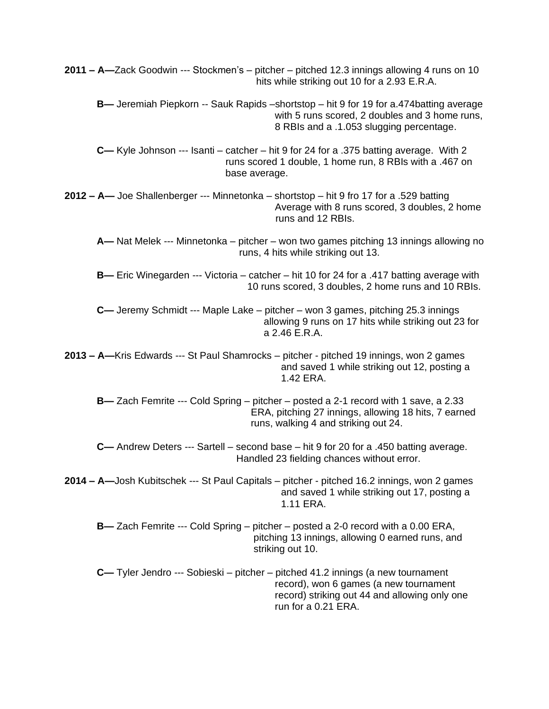**2011 – A—**Zack Goodwin --- Stockmen's – pitcher – pitched 12.3 innings allowing 4 runs on 10 hits while striking out 10 for a 2.93 E.R.A. **B—** Jeremiah Piepkorn -- Sauk Rapids –shortstop – hit 9 for 19 for a.474batting average with 5 runs scored, 2 doubles and 3 home runs, 8 RBIs and a .1.053 slugging percentage. **C—** Kyle Johnson --- Isanti – catcher – hit 9 for 24 for a .375 batting average. With 2 runs scored 1 double, 1 home run, 8 RBIs with a .467 on base average. **2012 – A—** Joe Shallenberger --- Minnetonka – shortstop – hit 9 fro 17 for a .529 batting Average with 8 runs scored, 3 doubles, 2 home runs and 12 RBIs. **A—** Nat Melek --- Minnetonka – pitcher – won two games pitching 13 innings allowing no runs, 4 hits while striking out 13. **B—** Eric Winegarden --- Victoria – catcher – hit 10 for 24 for a .417 batting average with 10 runs scored, 3 doubles, 2 home runs and 10 RBIs. **C—** Jeremy Schmidt --- Maple Lake – pitcher – won 3 games, pitching 25.3 innings allowing 9 runs on 17 hits while striking out 23 for a 2.46 E.R.A. **2013 – A—**Kris Edwards --- St Paul Shamrocks – pitcher - pitched 19 innings, won 2 games and saved 1 while striking out 12, posting a 1.42 ERA. **B—** Zach Femrite --- Cold Spring – pitcher – posted a 2-1 record with 1 save, a 2.33 ERA, pitching 27 innings, allowing 18 hits, 7 earned runs, walking 4 and striking out 24. **C—** Andrew Deters --- Sartell – second base – hit 9 for 20 for a .450 batting average. Handled 23 fielding chances without error. **2014 – A—**Josh Kubitschek --- St Paul Capitals – pitcher - pitched 16.2 innings, won 2 games and saved 1 while striking out 17, posting a 1.11 ERA. **B—** Zach Femrite --- Cold Spring – pitcher – posted a 2-0 record with a 0.00 ERA, pitching 13 innings, allowing 0 earned runs, and striking out 10. **C—** Tyler Jendro --- Sobieski – pitcher – pitched 41.2 innings (a new tournament record), won 6 games (a new tournament record) striking out 44 and allowing only one run for a 0.21 ERA.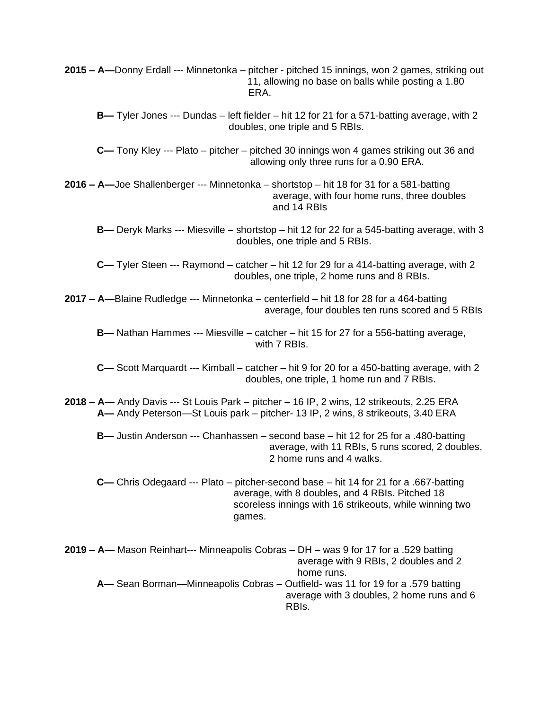**2015 – A—**Donny Erdall --- Minnetonka – pitcher - pitched 15 innings, won 2 games, striking out 11, allowing no base on balls while posting a 1.80 era. ERA. ERA.

**B—** Tyler Jones --- Dundas – left fielder – hit 12 for 21 for a 571-batting average, with 2 doubles, one triple and 5 RBIs.

**C—** Tony Kley --- Plato – pitcher – pitched 30 innings won 4 games striking out 36 and allowing only three runs for a 0.90 ERA.

**2016 – A—**Joe Shallenberger --- Minnetonka – shortstop – hit 18 for 31 for a 581-batting average, with four home runs, three doubles and 14 RBIs

**B—** Deryk Marks --- Miesville – shortstop – hit 12 for 22 for a 545-batting average, with 3 doubles, one triple and 5 RBIs.

**C—** Tyler Steen --- Raymond – catcher – hit 12 for 29 for a 414-batting average, with 2 doubles, one triple, 2 home runs and 8 RBIs.

**2017 – A—**Blaine Rudledge --- Minnetonka – centerfield – hit 18 for 28 for a 464-batting average, four doubles ten runs scored and 5 RBIs

**B—** Nathan Hammes --- Miesville – catcher – hit 15 for 27 for a 556-batting average, with 7 RBIs.

**C—** Scott Marquardt --- Kimball – catcher – hit 9 for 20 for a 450-batting average, with 2 doubles, one triple, 1 home run and 7 RBIs.

**2018 – A—** Andy Davis --- St Louis Park – pitcher – 16 IP, 2 wins, 12 strikeouts, 2.25 ERA **A—** Andy Peterson—St Louis park – pitcher- 13 IP, 2 wins, 8 strikeouts, 3.40 ERA

**B—** Justin Anderson --- Chanhassen – second base – hit 12 for 25 for a .480-batting average, with 11 RBIs, 5 runs scored, 2 doubles, 2 home runs and 4 walks.

**C—** Chris Odegaard --- Plato – pitcher-second base – hit 14 for 21 for a .667-batting average, with 8 doubles, and 4 RBIs. Pitched 18 scoreless innings with 16 strikeouts, while winning two games.

**2019 – A—** Mason Reinhart--- Minneapolis Cobras – DH – was 9 for 17 for a .529 batting average with 9 RBIs, 2 doubles and 2 home runs. **A—** Sean Borman—Minneapolis Cobras – Outfield- was 11 for 19 for a .579 batting average with 3 doubles, 2 home runs and 6 RBIs.